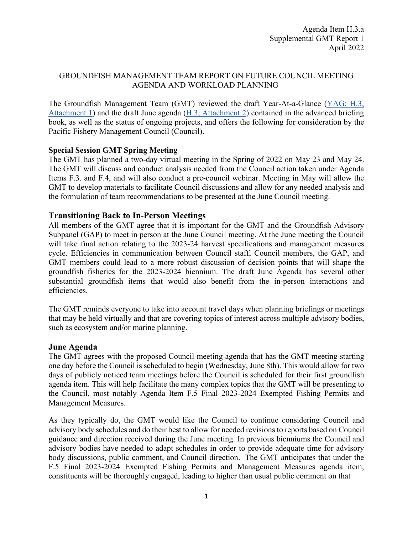### GROUNDFISH MANAGEMENT TEAM REPORT ON FUTURE COUNCIL MEETING AGENDA AND WORKLOAD PLANNING

The Groundfish Management Team (GMT) reviewed the draft Year-At-a-Glance (YAG; H.3, [Attachment 1\)](https://www.pcouncil.org/documents/2022/03/h-3-attachment-1-pacific-council-workload-planning-preliminary-year-at-a-glance-summary.pdf/) and the draft June agenda [\(H.3, Attachment 2\)](https://www.pcouncil.org/documents/2022/03/h-3-attachment-2-draft-proposed-council-meeting-agenda-june-2022.pdf/) contained in the advanced briefing book, as well as the status of ongoing projects, and offers the following for consideration by the Pacific Fishery Management Council (Council).

### **Special Session GMT Spring Meeting**

The GMT has planned a two-day virtual meeting in the Spring of 2022 on May 23 and May 24. The GMT will discuss and conduct analysis needed from the Council action taken under Agenda Items F.3. and F.4, and will also conduct a pre-council webinar. Meeting in May will allow the GMT to develop materials to facilitate Council discussions and allow for any needed analysis and the formulation of team recommendations to be presented at the June Council meeting.

## **Transitioning Back to In-Person Meetings**

All members of the GMT agree that it is important for the GMT and the Groundfish Advisory Subpanel (GAP) to meet in person at the June Council meeting. At the June meeting the Council will take final action relating to the 2023-24 harvest specifications and management measures cycle. Efficiencies in communication between Council staff, Council members, the GAP, and GMT members could lead to a more robust discussion of decision points that will shape the groundfish fisheries for the 2023-2024 biennium. The draft June Agenda has several other substantial groundfish items that would also benefit from the in-person interactions and efficiencies.

The GMT reminds everyone to take into account travel days when planning briefings or meetings that may be held virtually and that are covering topics of interest across multiple advisory bodies, such as ecosystem and/or marine planning.

### **June Agenda**

The GMT agrees with the proposed Council meeting agenda that has the GMT meeting starting one day before the Council is scheduled to begin (Wednesday, June 8th). This would allow for two days of publicly noticed team meetings before the Council is scheduled for their first groundfish agenda item. This will help facilitate the many complex topics that the GMT will be presenting to the Council, most notably Agenda Item F.5 Final 2023-2024 Exempted Fishing Permits and Management Measures.

As they typically do, the GMT would like the Council to continue considering Council and advisory body schedules and do their best to allow for needed revisions to reports based on Council guidance and direction received during the June meeting. In previous bienniums the Council and advisory bodies have needed to adapt schedules in order to provide adequate time for advisory body discussions, public comment, and Council direction. The GMT anticipates that under the F.5 Final 2023-2024 Exempted Fishing Permits and Management Measures agenda item, constituents will be thoroughly engaged, leading to higher than usual public comment on that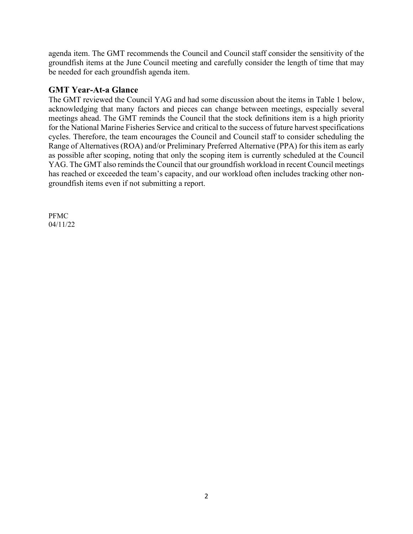agenda item. The GMT recommends the Council and Council staff consider the sensitivity of the groundfish items at the June Council meeting and carefully consider the length of time that may be needed for each groundfish agenda item.

# **GMT Year-At-a Glance**

The GMT reviewed the Council YAG and had some discussion about the items in Table 1 below, acknowledging that many factors and pieces can change between meetings, especially several meetings ahead. The GMT reminds the Council that the stock definitions item is a high priority for the National Marine Fisheries Service and critical to the success of future harvest specifications cycles. Therefore, the team encourages the Council and Council staff to consider scheduling the Range of Alternatives (ROA) and/or Preliminary Preferred Alternative (PPA) for this item as early as possible after scoping, noting that only the scoping item is currently scheduled at the Council YAG. The GMT also reminds the Council that our groundfish workload in recent Council meetings has reached or exceeded the team's capacity, and our workload often includes tracking other nongroundfish items even if not submitting a report.

PFMC 04/11/22